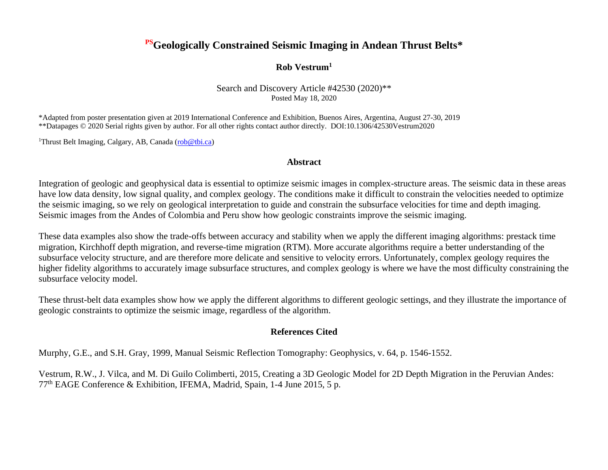### **PSGeologically Constrained Seismic Imaging in Andean Thrust Belts\***

#### **Rob Vestrum<sup>1</sup>**

Search and Discovery Article #42530 (2020)\*\* Posted May 18, 2020

\*Adapted from poster presentation given at 2019 International Conference and Exhibition, Buenos Aires, Argentina, August 27-30, 2019 \*\*Datapages © 2020 Serial rights given by author. For all other rights contact author directly. DOI:10.1306/42530Vestrum2020

<sup>1</sup>Thrust Belt Imaging, Calgary, AB, Canada [\(rob@tbi.ca\)](mailto:rob@tbi.ca)

#### **Abstract**

Integration of geologic and geophysical data is essential to optimize seismic images in complex-structure areas. The seismic data in these areas have low data density, low signal quality, and complex geology. The conditions make it difficult to constrain the velocities needed to optimize the seismic imaging, so we rely on geological interpretation to guide and constrain the subsurface velocities for time and depth imaging. Seismic images from the Andes of Colombia and Peru show how geologic constraints improve the seismic imaging.

These data examples also show the trade-offs between accuracy and stability when we apply the different imaging algorithms: prestack time migration, Kirchhoff depth migration, and reverse-time migration (RTM). More accurate algorithms require a better understanding of the subsurface velocity structure, and are therefore more delicate and sensitive to velocity errors. Unfortunately, complex geology requires the higher fidelity algorithms to accurately image subsurface structures, and complex geology is where we have the most difficulty constraining the subsurface velocity model.

These thrust-belt data examples show how we apply the different algorithms to different geologic settings, and they illustrate the importance of geologic constraints to optimize the seismic image, regardless of the algorithm.

#### **References Cited**

Murphy, G.E., and S.H. Gray, 1999, Manual Seismic Reflection Tomography: Geophysics, v. 64, p. 1546-1552.

Vestrum, R.W., J. Vilca, and M. Di Guilo Colimberti, 2015, Creating a 3D Geologic Model for 2D Depth Migration in the Peruvian Andes: 77th EAGE Conference & Exhibition, IFEMA, Madrid, Spain, 1-4 June 2015, 5 p.